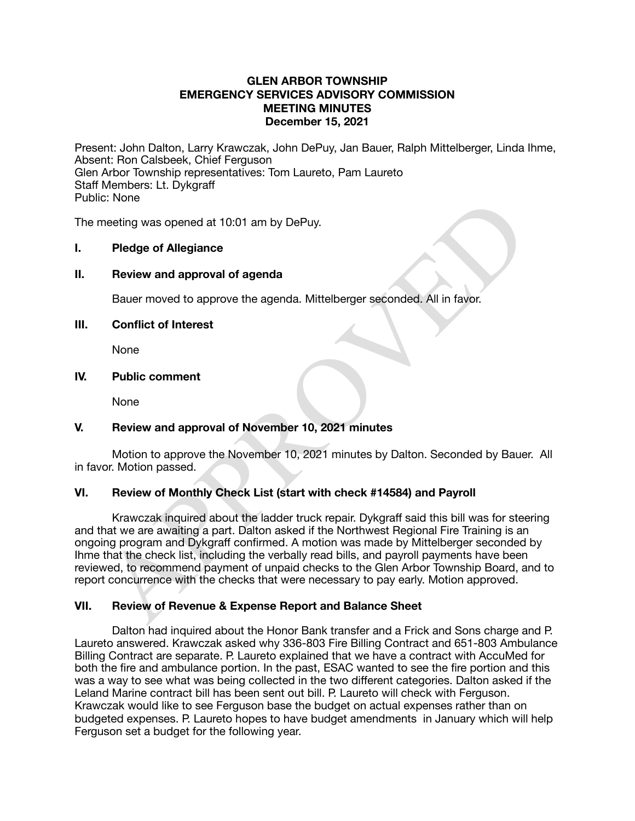### **GLEN ARBOR TOWNSHIP EMERGENCY SERVICES ADVISORY COMMISSION MEETING MINUTES December 15, 2021**

Present: John Dalton, Larry Krawczak, John DePuy, Jan Bauer, Ralph Mittelberger, Linda Ihme, Absent: Ron Calsbeek, Chief Ferguson Glen Arbor Township representatives: Tom Laureto, Pam Laureto Staff Members: Lt. Dykgraff Public: None

The meeting was opened at 10:01 am by DePuy.

# **I. Pledge of Allegiance**

### **II. Review and approval of agenda**

Bauer moved to approve the agenda. Mittelberger seconded. All in favor.

### **III. Conflict of Interest**

None

### **IV. Public comment**

None

# **V. Review and approval of November 10, 2021 minutes**

Motion to approve the November 10, 2021 minutes by Dalton. Seconded by Bauer. All in favor. Motion passed.

#### **VI. Review of Monthly Check List (start with check #14584) and Payroll**

C: None<br>
Thedge of Allegiance<br>
Review and approval of agenda<br>
Bauer moved to approve the agenda. Mittelberger seconded. All in favor.<br>
Conflict of Interest<br>
None<br>
Public comment<br>
None<br>
Review and approval of November 10, 2 Krawczak inquired about the ladder truck repair. Dykgraff said this bill was for steering and that we are awaiting a part. Dalton asked if the Northwest Regional Fire Training is an ongoing program and Dykgraff confirmed. A motion was made by Mittelberger seconded by Ihme that the check list, including the verbally read bills, and payroll payments have been reviewed, to recommend payment of unpaid checks to the Glen Arbor Township Board, and to report concurrence with the checks that were necessary to pay early. Motion approved.

# **VII. Review of Revenue & Expense Report and Balance Sheet**

Dalton had inquired about the Honor Bank transfer and a Frick and Sons charge and P. Laureto answered. Krawczak asked why 336-803 Fire Billing Contract and 651-803 Ambulance Billing Contract are separate. P. Laureto explained that we have a contract with AccuMed for both the fire and ambulance portion. In the past, ESAC wanted to see the fire portion and this was a way to see what was being collected in the two different categories. Dalton asked if the Leland Marine contract bill has been sent out bill. P. Laureto will check with Ferguson. Krawczak would like to see Ferguson base the budget on actual expenses rather than on budgeted expenses. P. Laureto hopes to have budget amendments in January which will help Ferguson set a budget for the following year.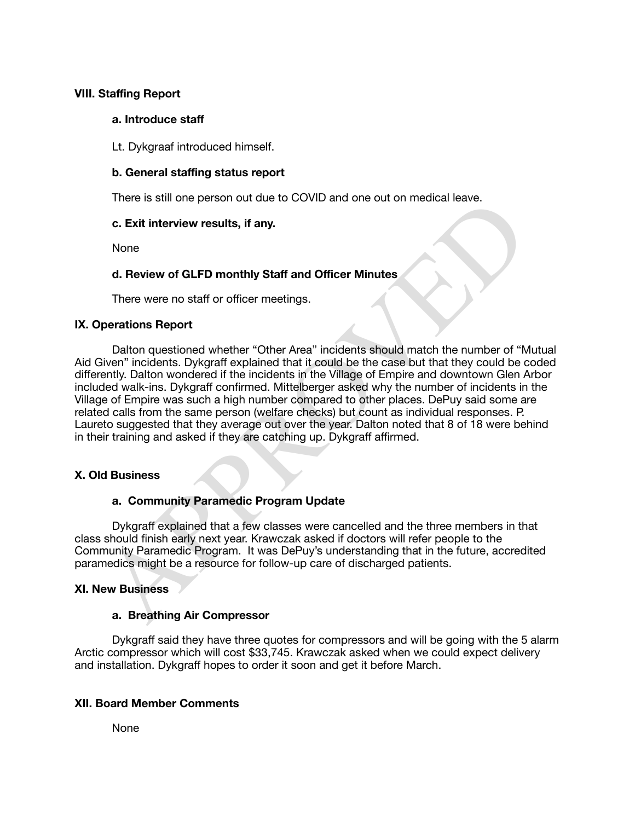## **VIII. Staffing Report**

### **a. Introduce staff**

Lt. Dykgraaf introduced himself.

### **b. General staffing status report**

There is still one person out due to COVID and one out on medical leave.

### **c. Exit interview results, if any.**

None

# **d. Review of GLFD monthly Staff and Officer Minutes**

There were no staff or officer meetings.

# **IX. Operations Report**

There is suit one person out oue to COVID and one out on medical leave.<br>
C. Exit interview results, if any.<br>
None<br>
d. Review of GLFD monthly Staff and Officer Minutes<br>
There were no staff or officer meetings.<br>
Porartions R Dalton questioned whether "Other Area" incidents should match the number of "Mutual Aid Given" incidents. Dykgraff explained that it could be the case but that they could be coded differently. Dalton wondered if the incidents in the Village of Empire and downtown Glen Arbor included walk-ins. Dykgraff confirmed. Mittelberger asked why the number of incidents in the Village of Empire was such a high number compared to other places. DePuy said some are related calls from the same person (welfare checks) but count as individual responses. P. Laureto suggested that they average out over the year. Dalton noted that 8 of 18 were behind in their training and asked if they are catching up. Dykgraff affirmed.

# **X. Old Business**

# **a. Community Paramedic Program Update**

Dykgraff explained that a few classes were cancelled and the three members in that class should finish early next year. Krawczak asked if doctors will refer people to the Community Paramedic Program. It was DePuy's understanding that in the future, accredited paramedics might be a resource for follow-up care of discharged patients.

# **XI. New Business**

#### **a. Breathing Air Compressor**

Dykgraff said they have three quotes for compressors and will be going with the 5 alarm Arctic compressor which will cost \$33,745. Krawczak asked when we could expect delivery and installation. Dykgraff hopes to order it soon and get it before March.

# **XII. Board Member Comments**

None